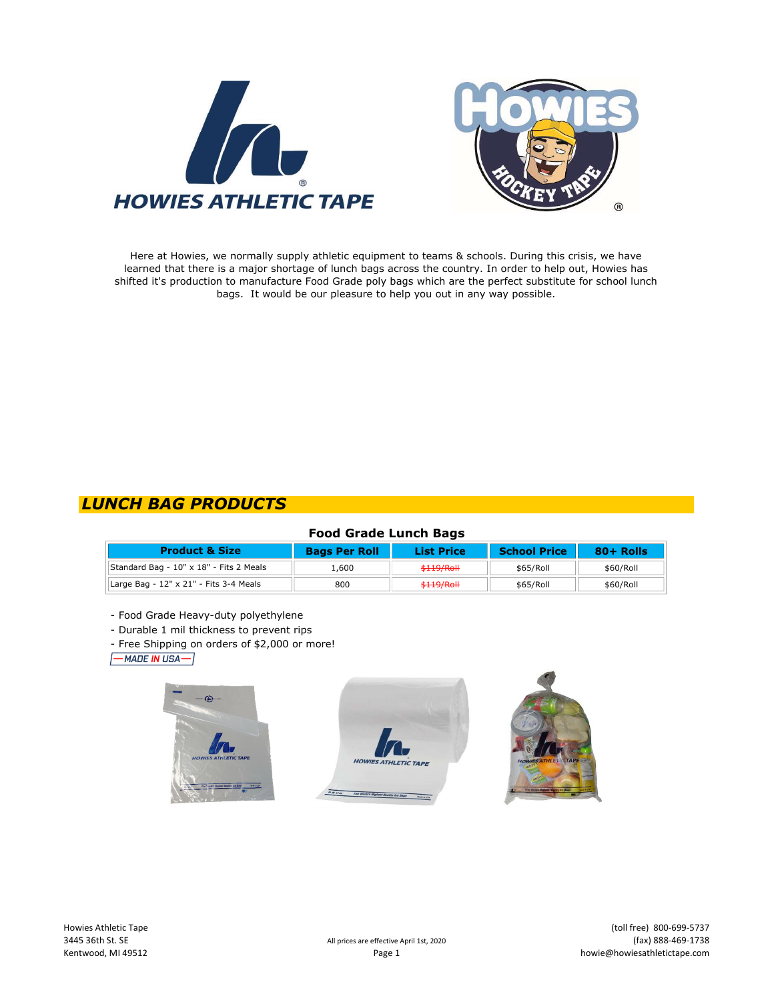



Here at Howies, we normally supply athletic equipment to teams & schools. During this crisis, we have learned that there is a major shortage of lunch bags across the country. In order to help out, Howies has shifted it's production to manufacture Food Grade poly bags which are the perfect substitute for school lunch bags. It would be our pleasure to help you out in any way possible.

# LUNCH BAG PRODUCTS

## Food Grade Lunch Bags

| <b>Product &amp; Size</b>               | <b>Bags Per Roll</b> | <b>List Price</b> | <b>School Price</b> | $80 +$ Rolls |  |
|-----------------------------------------|----------------------|-------------------|---------------------|--------------|--|
| Standard Bag - 10" x 18" - Fits 2 Meals | 600. ا               | \$119/Roll        | \$65/Roll           | \$60/Roll    |  |
| Large Bag - 12" x 21" - Fits 3-4 Meals  | 800                  | \$119/Roll        | \$65/Roll           | \$60/Roll    |  |

- Food Grade Heavy-duty polyethylene

- Durable 1 mil thickness to prevent rips

- Free Shipping on orders of \$2,000 or more!

 $\sqrt{-MADEINUSA-}$